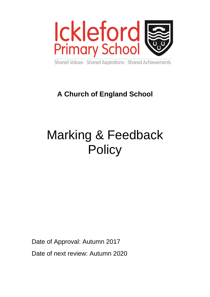

Shared Values · Shared Aspirations · Shared Achievements

# **A Church of England School**

# Marking & Feedback **Policy**

Date of Approval: Autumn 2017

Date of next review: Autumn 2020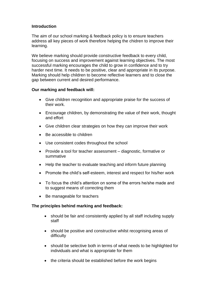## **Introduction**

The aim of our school marking & feedback policy is to ensure teachers address all key pieces of work therefore helping the chidren to improve their learning.

We believe marking should provide constructive feedback to every child, focusing on success and improvement against learning objectives. The most successful marking encourages the child to grow in confidence and to try harder next time. It needs to be positive, clear and appropriate in its purpose. Marking should help children to become reflective learners and to close the gap between current and desired performance.

#### **Our marking and feedback will:**

- Give children recognition and appropriate praise for the success of their work.
- Encourage children, by demonstrating the value of their work, thought and effort
- Give children clear strategies on how they can improve their work
- Be accessible to children
- Use consistent codes throughout the school
- Provide a tool for teacher assessment diagnostic, formative or summative
- Help the teacher to evaluate teaching and inform future planning
- Promote the child's self-esteem, interest and respect for his/her work
- To focus the child's attention on some of the errors he/she made and to suggest means of correcting them
- Be manageable for teachers

#### **The principles behind marking and feedback:**

- should be fair and consistently applied by all staff including supply staff
- should be positive and constructive whilst recognising areas of difficulty
- should be selective both in terms of what needs to be highlighted for individuals and what is appropriate for them
- the criteria should be established before the work begins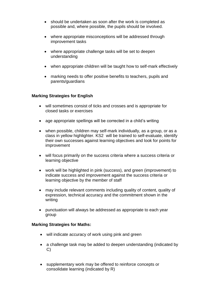- should be undertaken as soon after the work is completed as possible and, where possible, the pupils should be involved.
- where appropriate misconceptions will be addressed through improvement tasks
- where appropriate challenge tasks will be set to deepen understanding
- when appropriate children will be taught how to self-mark effectively
- marking needs to offer positive benefits to teachers, pupils and parents/guardians

### **Marking Strategies for English**

- will sometimes consist of ticks and crosses and is appropriate for closed tasks or exercises
- age appropriate spellings will be corrected in a child's writing
- when possible, children may self-mark individually, as a group, or as a class in yellow highlighter. KS2 will be trained to self-evaluate, identify their own successes against learning objectives and look for points for improvement
- will focus primarily on the success criteria where a success criteria or learning objective
- work will be highlighted in pink (success), and green (improvement) to indicate success and improvement against the success criteria or learning objective by the member of staff
- may include relevant comments including quality of content, quality of expression, technical accuracy and the commitment shown in the writing
- punctuation will always be addressed as appropriate to each year group

#### **Marking Strategies for Maths:**

- will indicate accuracy of work using pink and green
- a challenge task may be added to deepen understanding (indicated by C)
- supplementary work may be offered to reinforce concepts or consolidate learning (indicated by R)